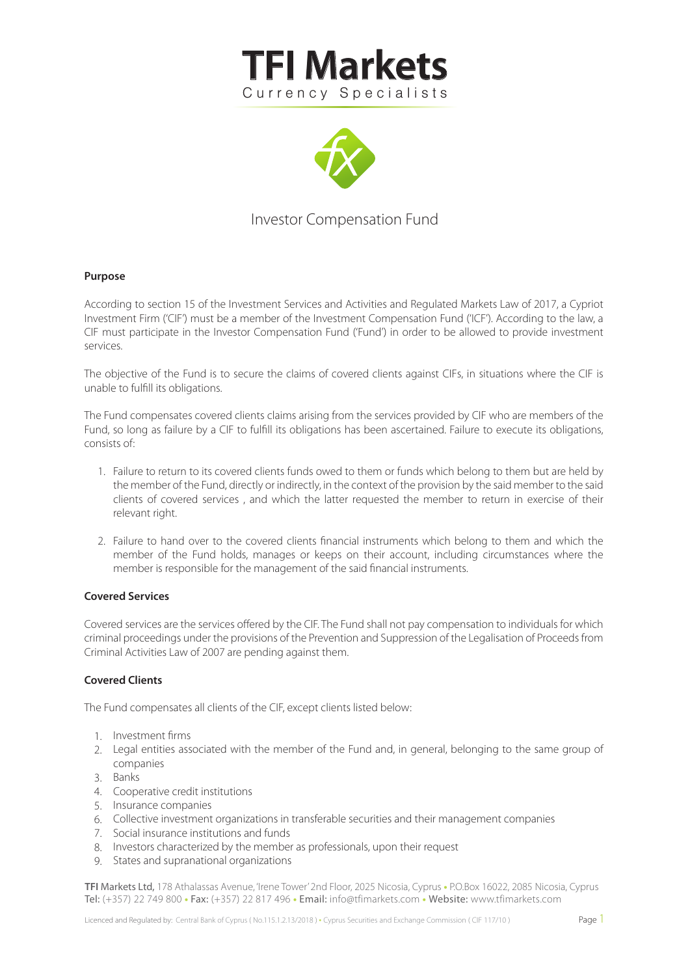



# Investor Compensation Fund

## **Purpose**

According to section 15 of the Investment Services and Activities and Regulated Markets Law of 2017, a Cypriot Investment Firm ('CIF') must be a member of the Investment Compensation Fund ('ICF'). According to the law, a CIF must participate in the Investor Compensation Fund ('Fund') in order to be allowed to provide investment services.

The objective of the Fund is to secure the claims of covered clients against CIFs, in situations where the CIF is unable to fulfill its obligations.

The Fund compensates covered clients claims arising from the services provided by CIF who are members of the Fund, so long as failure by a CIF to fulfill its obligations has been ascertained. Failure to execute its obligations, consists of:

- Failure to return to its covered clients funds owed to them or funds which belong to them but are held by 1. the member of the Fund, directly or indirectly, in the context of the provision by the said member to the said clients of covered services , and which the latter requested the member to return in exercise of their relevant right.
- 2. Failure to hand over to the covered clients financial instruments which belong to them and which the member of the Fund holds, manages or keeps on their account, including circumstances where the member is responsible for the management of the said financial instruments.

#### **Covered Services**

Covered services are the services offered by the CIF. The Fund shall not pay compensation to individuals for which criminal proceedings under the provisions of the Prevention and Suppression of the Legalisation of Proceeds from Criminal Activities Law of 2007 are pending against them.

## **Covered Clients**

The Fund compensates all clients of the CIF, except clients listed below:

- 1. Investment firms
- 2. Legal entities associated with the member of the Fund and, in general, belonging to the same group of companies
- Banks 3.
- 4. Cooperative credit institutions
- 5. Insurance companies
- Collective investment organizations in transferable securities and their management companies 6.
- 7. Social insurance institutions and funds
- 8. Investors characterized by the member as professionals, upon their request
- 9. States and supranational organizations

**TFI** Markets Ltd, 178 Athalassas Avenue, 'Irene Tower' 2nd Floor, 2025 Nicosia, Cyprus **•** P.O.Box 16022, 2085 Nicosia, Cyprus Tel: (+357) 22 749 800 • Fax: (+357) 22 817 496 • Email: info@tfimarkets.com • Website: www.tfimarkets.com